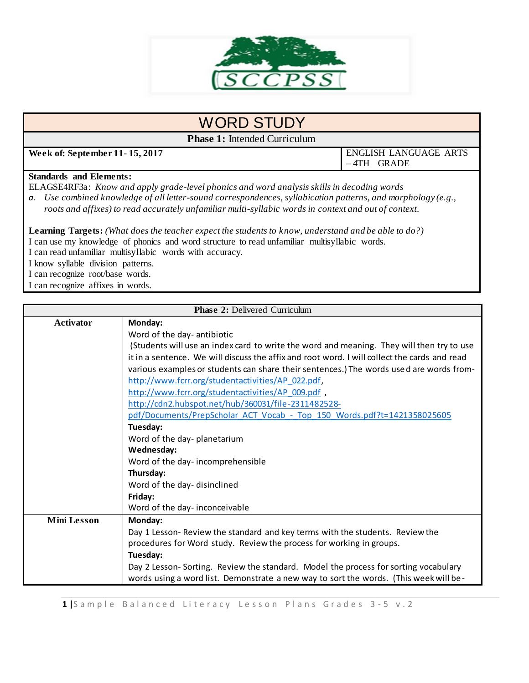

# WORD STUDY

**Phase 1:** Intended Curriculum

**Week of: September 11- 15, 2017** ENGLISH LANGUAGE ARTS

– 4TH GRADE

### **Standards and Elements:**

ELAGSE4RF3a: *Know and apply grade-level phonics and word analysis skills in decoding words a. Use combined knowledge of all letter-sound correspondences, syllabication patterns, and morphology (e.g., roots and affixes) to read accurately unfamiliar multi-syllabic words in context and out of context.*

**Learning Targets:** *(What does the teacher expect the students to know, understand and be able to do?)* I can use my knowledge of phonics and word structure to read unfamiliar multisyllabic words. I can read unfamiliar multisyllabic words with accuracy. I know syllable division patterns. I can recognize root/base words. I can recognize affixes in words.

|                    | <b>Phase 2: Delivered Curriculum</b>                                                         |  |  |
|--------------------|----------------------------------------------------------------------------------------------|--|--|
| <b>Activator</b>   | Monday:                                                                                      |  |  |
|                    | Word of the day- antibiotic                                                                  |  |  |
|                    | (Students will use an index card to write the word and meaning. They will then try to use    |  |  |
|                    | it in a sentence. We will discuss the affix and root word. I will collect the cards and read |  |  |
|                    | various examples or students can share their sentences.) The words used are words from-      |  |  |
|                    | http://www.fcrr.org/studentactivities/AP_022.pdf,                                            |  |  |
|                    | http://www.fcrr.org/studentactivities/AP_009.pdf,                                            |  |  |
|                    | http://cdn2.hubspot.net/hub/360031/file-2311482528-                                          |  |  |
|                    | pdf/Documents/PrepScholar_ACT_Vocab_-_Top_150_Words.pdf?t=1421358025605                      |  |  |
|                    | Tuesday:                                                                                     |  |  |
|                    | Word of the day-planetarium                                                                  |  |  |
|                    | Wednesday:                                                                                   |  |  |
|                    | Word of the day-incomprehensible                                                             |  |  |
|                    | Thursday:                                                                                    |  |  |
|                    | Word of the day-disinclined                                                                  |  |  |
|                    | Friday:                                                                                      |  |  |
|                    | Word of the day-inconceivable                                                                |  |  |
| <b>Mini Lesson</b> | Monday:                                                                                      |  |  |
|                    | Day 1 Lesson- Review the standard and key terms with the students. Review the                |  |  |
|                    | procedures for Word study. Review the process for working in groups.                         |  |  |
|                    | Tuesday:                                                                                     |  |  |
|                    | Day 2 Lesson- Sorting. Review the standard. Model the process for sorting vocabulary         |  |  |
|                    | words using a word list. Demonstrate a new way to sort the words. (This week will be-        |  |  |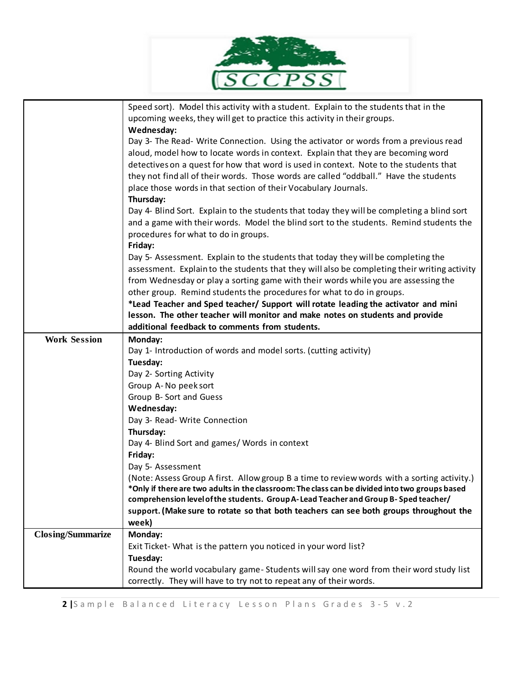|                                                 | Speed sort). Model this activity with a student. Explain to the students that in the<br>upcoming weeks, they will get to practice this activity in their groups.<br>Wednesday:<br>Day 3- The Read- Write Connection. Using the activator or words from a previous read<br>aloud, model how to locate words in context. Explain that they are becoming word<br>detectives on a quest for how that word is used in context. Note to the students that<br>they not find all of their words. Those words are called "oddball." Have the students<br>place those words in that section of their Vocabulary Journals.<br>Thursday:<br>Day 4- Blind Sort. Explain to the students that today they will be completing a blind sort<br>and a game with their words. Model the blind sort to the students. Remind students the<br>procedures for what to do in groups.<br>Friday:<br>Day 5- Assessment. Explain to the students that today they will be completing the<br>assessment. Explain to the students that they will also be completing their writing activity<br>from Wednesday or play a sorting game with their words while you are assessing the<br>other group. Remind students the procedures for what to do in groups.<br>*Lead Teacher and Sped teacher/ Support will rotate leading the activator and mini |
|-------------------------------------------------|-------------------------------------------------------------------------------------------------------------------------------------------------------------------------------------------------------------------------------------------------------------------------------------------------------------------------------------------------------------------------------------------------------------------------------------------------------------------------------------------------------------------------------------------------------------------------------------------------------------------------------------------------------------------------------------------------------------------------------------------------------------------------------------------------------------------------------------------------------------------------------------------------------------------------------------------------------------------------------------------------------------------------------------------------------------------------------------------------------------------------------------------------------------------------------------------------------------------------------------------------------------------------------------------------------------------|
|                                                 | lesson. The other teacher will monitor and make notes on students and provide<br>additional feedback to comments from students.                                                                                                                                                                                                                                                                                                                                                                                                                                                                                                                                                                                                                                                                                                                                                                                                                                                                                                                                                                                                                                                                                                                                                                                   |
| <b>Work Session</b><br><b>Closing/Summarize</b> | Monday:<br>Day 1- Introduction of words and model sorts. (cutting activity)<br>Tuesday:<br>Day 2- Sorting Activity<br>Group A-No peek sort<br>Group B- Sort and Guess<br>Wednesday:<br>Day 3- Read- Write Connection<br>Thursday:<br>Day 4- Blind Sort and games/ Words in context<br>Friday:<br>Day 5- Assessment<br>(Note: Assess Group A first. Allow group B a time to review words with a sorting activity.)<br>*Only if there are two adults in the classroom: The class can be divided into two groups based<br>comprehension level of the students. Group A-Lead Teacher and Group B-Sped teacher/<br>support. (Make sure to rotate so that both teachers can see both groups throughout the<br>week)<br>Monday:                                                                                                                                                                                                                                                                                                                                                                                                                                                                                                                                                                                          |
|                                                 | Exit Ticket- What is the pattern you noticed in your word list?<br>Tuesday:<br>Round the world vocabulary game-Students will say one word from their word study list                                                                                                                                                                                                                                                                                                                                                                                                                                                                                                                                                                                                                                                                                                                                                                                                                                                                                                                                                                                                                                                                                                                                              |
|                                                 | correctly. They will have to try not to repeat any of their words.                                                                                                                                                                                                                                                                                                                                                                                                                                                                                                                                                                                                                                                                                                                                                                                                                                                                                                                                                                                                                                                                                                                                                                                                                                                |

 $\sim$ 

Þ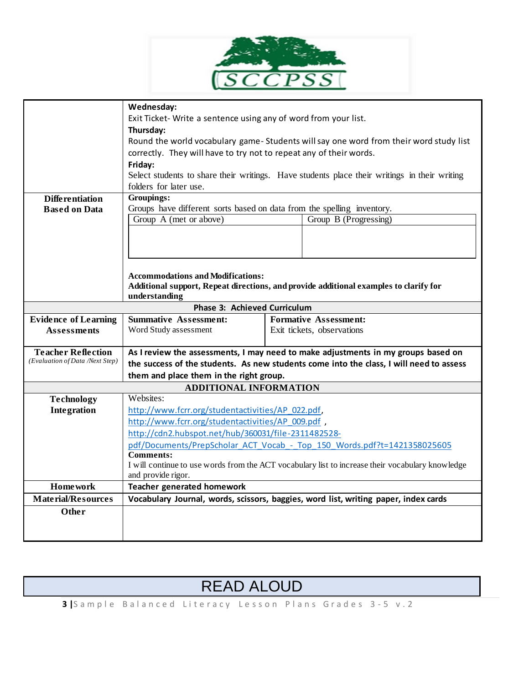

|                                                              | Wednesday:                                                                                                                        |  |                                                                                              |
|--------------------------------------------------------------|-----------------------------------------------------------------------------------------------------------------------------------|--|----------------------------------------------------------------------------------------------|
|                                                              | Exit Ticket-Write a sentence using any of word from your list.                                                                    |  |                                                                                              |
|                                                              | Thursday:                                                                                                                         |  |                                                                                              |
|                                                              |                                                                                                                                   |  | Round the world vocabulary game-Students will say one word from their word study list        |
|                                                              | correctly. They will have to try not to repeat any of their words.                                                                |  |                                                                                              |
|                                                              | Friday:                                                                                                                           |  |                                                                                              |
|                                                              | folders for later use.                                                                                                            |  | Select students to share their writings. Have students place their writings in their writing |
| <b>Differentiation</b>                                       | Groupings:                                                                                                                        |  |                                                                                              |
| <b>Based on Data</b>                                         | Groups have different sorts based on data from the spelling inventory.                                                            |  |                                                                                              |
|                                                              | Group A (met or above)                                                                                                            |  | Group B (Progressing)                                                                        |
|                                                              |                                                                                                                                   |  |                                                                                              |
|                                                              |                                                                                                                                   |  |                                                                                              |
|                                                              |                                                                                                                                   |  |                                                                                              |
|                                                              |                                                                                                                                   |  |                                                                                              |
|                                                              | <b>Accommodations and Modifications:</b><br>Additional support, Repeat directions, and provide additional examples to clarify for |  |                                                                                              |
|                                                              | understanding                                                                                                                     |  |                                                                                              |
| <b>Phase 3: Achieved Curriculum</b>                          |                                                                                                                                   |  |                                                                                              |
| <b>Evidence of Learning</b>                                  | <b>Summative Assessment:</b>                                                                                                      |  | <b>Formative Assessment:</b>                                                                 |
| <b>Assessments</b>                                           | Word Study assessment                                                                                                             |  | Exit tickets, observations                                                                   |
|                                                              |                                                                                                                                   |  |                                                                                              |
| <b>Teacher Reflection</b><br>(Evaluation of Data /Next Step) | As I review the assessments, I may need to make adjustments in my groups based on                                                 |  |                                                                                              |
|                                                              | the success of the students. As new students come into the class, I will need to assess                                           |  |                                                                                              |
|                                                              | them and place them in the right group.                                                                                           |  |                                                                                              |
|                                                              | <b>ADDITIONAL INFORMATION</b>                                                                                                     |  |                                                                                              |
| <b>Technology</b>                                            | Websites:                                                                                                                         |  |                                                                                              |
| Integration                                                  | http://www.fcrr.org/studentactivities/AP_022.pdf,                                                                                 |  |                                                                                              |
|                                                              | http://www.fcrr.org/studentactivities/AP 009.pdf,                                                                                 |  |                                                                                              |
|                                                              | http://cdn2.hubspot.net/hub/360031/file-2311482528-                                                                               |  |                                                                                              |
|                                                              | pdf/Documents/PrepScholar ACT Vocab - Top 150 Words.pdf?t=1421358025605                                                           |  |                                                                                              |
|                                                              | <b>Comments:</b><br>I will continue to use words from the ACT vocabulary list to increase their vocabulary knowledge              |  |                                                                                              |
|                                                              | and provide rigor.                                                                                                                |  |                                                                                              |
| <b>Homework</b>                                              | <b>Teacher generated homework</b>                                                                                                 |  |                                                                                              |
| <b>Material/Resources</b>                                    |                                                                                                                                   |  | Vocabulary Journal, words, scissors, baggies, word list, writing paper, index cards          |
| Other                                                        |                                                                                                                                   |  |                                                                                              |
|                                                              |                                                                                                                                   |  |                                                                                              |
|                                                              |                                                                                                                                   |  |                                                                                              |

# READ ALOUD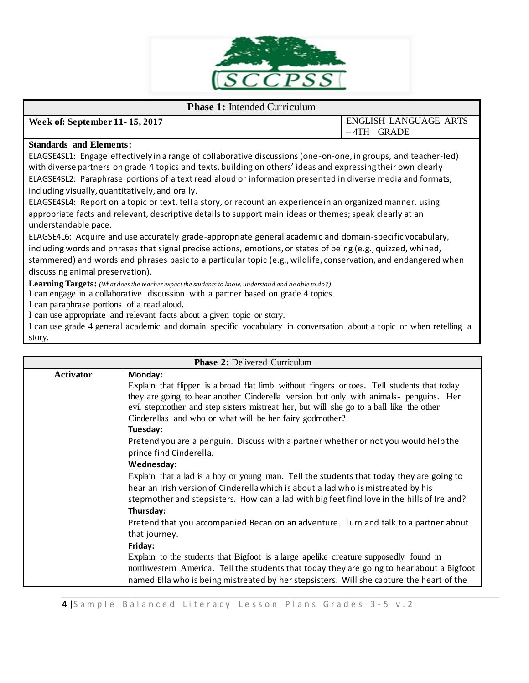

#### **Phase 1:** Intended Curriculum

**Week of: September 11- 15, 2017** ENGLISH LANGUAGE ARTS – 4TH GRADE

#### **Standards and Elements:**

ELAGSE4SL1: Engage effectively in a range of collaborative discussions (one-on-one, in groups, and teacher-led) with diverse partners on grade 4 topics and texts, building on others' ideas and expressing their own clearly ELAGSE4SL2: Paraphrase portions of a text read aloud or information presented in diverse media and formats, including visually, quantitatively, and orally.

ELAGSE4SL4: Report on a topic or text, tell a story, or recount an experience in an organized manner, using appropriate facts and relevant, descriptive details to support main ideas or themes; speak clearly at an understandable pace.

ELAGSE4L6: Acquire and use accurately grade-appropriate general academic and domain-specific vocabulary, including words and phrases that signal precise actions, emotions, or states of being (e.g., quizzed, whined, stammered) and words and phrases basic to a particular topic (e.g., wildlife, conservation, and endangered when discussing animal preservation).

**Learning Targets:** *(What does the teacher expect the students to know, understand and be able to do?)*

I can engage in a collaborative discussion with a partner based on grade 4 topics.

I can paraphrase portions of a read aloud.

I can use appropriate and relevant facts about a given topic or story.

I can use grade 4 general academic and domain specific vocabulary in conversation about a topic or when retelling a story.

| <b>Phase 2: Delivered Curriculum</b> |                                                                                                                                                                                   |  |
|--------------------------------------|-----------------------------------------------------------------------------------------------------------------------------------------------------------------------------------|--|
| Activator                            | Monday:                                                                                                                                                                           |  |
|                                      | Explain that flipper is a broad flat limb without fingers or toes. Tell students that today                                                                                       |  |
|                                      | they are going to hear another Cinderella version but only with animals- penguins. Her<br>evil stepmother and step sisters mistreat her, but will she go to a ball like the other |  |
|                                      | Cinderellas and who or what will be her fairy godmother?                                                                                                                          |  |
|                                      | Tuesday:                                                                                                                                                                          |  |
|                                      | Pretend you are a penguin. Discuss with a partner whether or not you would help the                                                                                               |  |
|                                      | prince find Cinderella.                                                                                                                                                           |  |
|                                      | Wednesday:                                                                                                                                                                        |  |
|                                      | Explain that a lad is a boy or young man. Tell the students that today they are going to                                                                                          |  |
|                                      | hear an Irish version of Cinderella which is about a lad who is mistreated by his                                                                                                 |  |
|                                      | stepmother and stepsisters. How can a lad with big feet find love in the hills of Ireland?                                                                                        |  |
|                                      | Thursday:                                                                                                                                                                         |  |
|                                      | Pretend that you accompanied Becan on an adventure. Turn and talk to a partner about                                                                                              |  |
|                                      | that journey.                                                                                                                                                                     |  |
|                                      | Friday:                                                                                                                                                                           |  |
|                                      | Explain to the students that Bigfoot is a large apelike creature supposedly found in                                                                                              |  |
|                                      | northwestern America. Tell the students that today they are going to hear about a Bigfoot                                                                                         |  |
|                                      | named Ella who is being mistreated by her stepsisters. Will she capture the heart of the                                                                                          |  |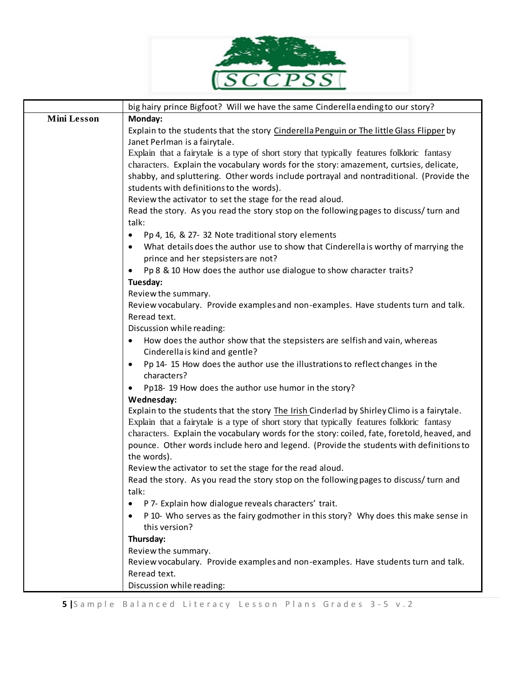

|                    | big hairy prince Bigfoot? Will we have the same Cinderella ending to our story?                                    |
|--------------------|--------------------------------------------------------------------------------------------------------------------|
| <b>Mini Lesson</b> | Monday:                                                                                                            |
|                    | Explain to the students that the story Cinderella Penguin or The little Glass Flipper by                           |
|                    | Janet Perlman is a fairytale.                                                                                      |
|                    | Explain that a fairytale is a type of short story that typically features folkloric fantasy                        |
|                    | characters. Explain the vocabulary words for the story: amazement, curtsies, delicate,                             |
|                    | shabby, and spluttering. Other words include portrayal and nontraditional. (Provide the                            |
|                    | students with definitions to the words).                                                                           |
|                    | Review the activator to set the stage for the read aloud.                                                          |
|                    | Read the story. As you read the story stop on the following pages to discuss/turn and                              |
|                    | talk:                                                                                                              |
|                    | Pp 4, 16, & 27- 32 Note traditional story elements<br>$\bullet$                                                    |
|                    | What details does the author use to show that Cinderella is worthy of marrying the<br>$\bullet$                    |
|                    | prince and her stepsisters are not?                                                                                |
|                    | Pp 8 & 10 How does the author use dialogue to show character traits?                                               |
|                    | Tuesday:                                                                                                           |
|                    | Review the summary.                                                                                                |
|                    | Review vocabulary. Provide examples and non-examples. Have students turn and talk.                                 |
|                    | Reread text.                                                                                                       |
|                    | Discussion while reading:                                                                                          |
|                    | How does the author show that the stepsisters are selfish and vain, whereas<br>٠<br>Cinderella is kind and gentle? |
|                    | Pp 14-15 How does the author use the illustrations to reflect changes in the<br>٠<br>characters?                   |
|                    |                                                                                                                    |
|                    | Pp18-19 How does the author use humor in the story?<br>$\bullet$                                                   |
|                    | Wednesday:<br>Explain to the students that the story The Irish Cinderlad by Shirley Climo is a fairytale.          |
|                    | Explain that a fairytale is a type of short story that typically features folkloric fantasy                        |
|                    | characters. Explain the vocabulary words for the story: coiled, fate, foretold, heaved, and                        |
|                    | pounce. Other words include hero and legend. (Provide the students with definitions to                             |
|                    | the words).                                                                                                        |
|                    | Review the activator to set the stage for the read aloud.                                                          |
|                    | Read the story. As you read the story stop on the following pages to discuss/turn and                              |
|                    | talk:                                                                                                              |
|                    | P 7- Explain how dialogue reveals characters' trait.                                                               |
|                    | P 10- Who serves as the fairy godmother in this story? Why does this make sense in                                 |
|                    | this version?                                                                                                      |
|                    | Thursday:                                                                                                          |
|                    | Review the summary.                                                                                                |
|                    | Review vocabulary. Provide examples and non-examples. Have students turn and talk.                                 |
|                    | Reread text.                                                                                                       |
|                    | Discussion while reading:                                                                                          |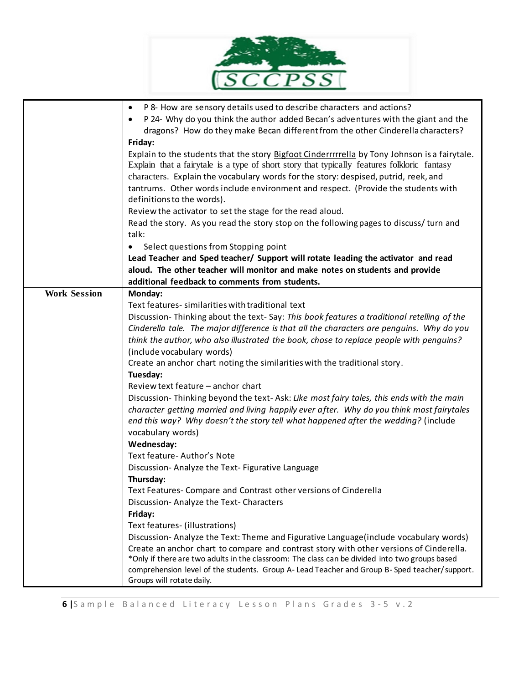|                     | P 8- How are sensory details used to describe characters and actions?<br>٠<br>P 24- Why do you think the author added Becan's adventures with the giant and the<br>dragons? How do they make Becan different from the other Cinderella characters?<br>Friday:<br>Explain to the students that the story Bigfoot Cinderrrrrella by Tony Johnson is a fairytale.<br>Explain that a fairytale is a type of short story that typically features folkloric fantasy<br>characters. Explain the vocabulary words for the story: despised, putrid, reek, and<br>tantrums. Other words include environment and respect. (Provide the students with<br>definitions to the words).<br>Review the activator to set the stage for the read aloud.<br>Read the story. As you read the story stop on the following pages to discuss/turn and<br>talk:<br>Select questions from Stopping point<br>$\bullet$<br>Lead Teacher and Sped teacher/ Support will rotate leading the activator and read<br>aloud. The other teacher will monitor and make notes on students and provide<br>additional feedback to comments from students.                                                                                                                                                                                                                                                                                                                                                                                            |
|---------------------|---------------------------------------------------------------------------------------------------------------------------------------------------------------------------------------------------------------------------------------------------------------------------------------------------------------------------------------------------------------------------------------------------------------------------------------------------------------------------------------------------------------------------------------------------------------------------------------------------------------------------------------------------------------------------------------------------------------------------------------------------------------------------------------------------------------------------------------------------------------------------------------------------------------------------------------------------------------------------------------------------------------------------------------------------------------------------------------------------------------------------------------------------------------------------------------------------------------------------------------------------------------------------------------------------------------------------------------------------------------------------------------------------------------------------------------------------------------------------------------------------------------|
| <b>Work Session</b> | Monday:<br>Text features- similarities with traditional text<br>Discussion-Thinking about the text-Say: This book features a traditional retelling of the<br>Cinderella tale. The major difference is that all the characters are penguins. Why do you<br>think the author, who also illustrated the book, chose to replace people with penguins?<br>(include vocabulary words)<br>Create an anchor chart noting the similarities with the traditional story.<br>Tuesday:<br>Review text feature - anchor chart<br>Discussion-Thinking beyond the text-Ask: Like most fairy tales, this ends with the main<br>character getting married and living happily ever after. Why do you think most fairytales<br>end this way? Why doesn't the story tell what happened after the wedding? (include<br>vocabulary words)<br>Wednesday:<br>Text feature- Author's Note<br>Discussion-Analyze the Text-Figurative Language<br>Thursday:<br>Text Features- Compare and Contrast other versions of Cinderella<br>Discussion-Analyze the Text-Characters<br>Friday:<br>Text features- (illustrations)<br>Discussion-Analyze the Text: Theme and Figurative Language(include vocabulary words)<br>Create an anchor chart to compare and contrast story with other versions of Cinderella.<br>*Only if there are two adults in the classroom: The class can be divided into two groups based<br>comprehension level of the students. Group A- Lead Teacher and Group B- Sped teacher/support.<br>Groups will rotate daily. |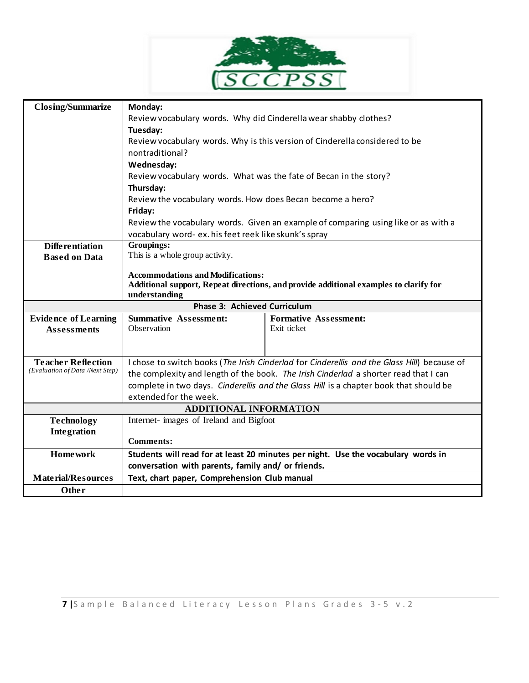

| <b>Closing/Summarize</b>                                     | Monday:                                                                                                                                                                       |                                                                                    |  |  |
|--------------------------------------------------------------|-------------------------------------------------------------------------------------------------------------------------------------------------------------------------------|------------------------------------------------------------------------------------|--|--|
|                                                              | Review vocabulary words. Why did Cinderella wear shabby clothes?                                                                                                              |                                                                                    |  |  |
|                                                              | Tuesday:                                                                                                                                                                      |                                                                                    |  |  |
|                                                              | Review vocabulary words. Why is this version of Cinderella considered to be                                                                                                   |                                                                                    |  |  |
|                                                              | nontraditional?                                                                                                                                                               |                                                                                    |  |  |
|                                                              | Wednesday:                                                                                                                                                                    |                                                                                    |  |  |
|                                                              | Review vocabulary words. What was the fate of Becan in the story?                                                                                                             |                                                                                    |  |  |
|                                                              | Thursday:                                                                                                                                                                     |                                                                                    |  |  |
|                                                              | Review the vocabulary words. How does Becan become a hero?                                                                                                                    |                                                                                    |  |  |
|                                                              | Friday:                                                                                                                                                                       |                                                                                    |  |  |
|                                                              |                                                                                                                                                                               | Review the vocabulary words. Given an example of comparing using like or as with a |  |  |
|                                                              | vocabulary word- ex. his feet reek like skunk's spray                                                                                                                         |                                                                                    |  |  |
| <b>Differentiation</b>                                       | Groupings:                                                                                                                                                                    |                                                                                    |  |  |
| <b>Based on Data</b>                                         | This is a whole group activity.                                                                                                                                               |                                                                                    |  |  |
|                                                              | <b>Accommodations and Modifications:</b>                                                                                                                                      |                                                                                    |  |  |
|                                                              | Additional support, Repeat directions, and provide additional examples to clarify for                                                                                         |                                                                                    |  |  |
|                                                              | understanding                                                                                                                                                                 |                                                                                    |  |  |
| <b>Phase 3: Achieved Curriculum</b>                          |                                                                                                                                                                               |                                                                                    |  |  |
| <b>Evidence of Learning</b>                                  | <b>Summative Assessment:</b><br><b>Formative Assessment:</b>                                                                                                                  |                                                                                    |  |  |
| <b>Assessments</b>                                           | Observation                                                                                                                                                                   | Exit ticket                                                                        |  |  |
|                                                              |                                                                                                                                                                               |                                                                                    |  |  |
|                                                              |                                                                                                                                                                               |                                                                                    |  |  |
| <b>Teacher Reflection</b><br>(Evaluation of Data /Next Step) | I chose to switch books (The Irish Cinderlad for Cinderellis and the Glass Hill) because of                                                                                   |                                                                                    |  |  |
|                                                              | the complexity and length of the book. The Irish Cinderlad a shorter read that I can<br>complete in two days. Cinderellis and the Glass Hill is a chapter book that should be |                                                                                    |  |  |
|                                                              | extended for the week.                                                                                                                                                        |                                                                                    |  |  |
|                                                              | <b>ADDITIONAL INFORMATION</b>                                                                                                                                                 |                                                                                    |  |  |
|                                                              | Internet- images of Ireland and Bigfoot                                                                                                                                       |                                                                                    |  |  |
| <b>Technology</b><br>Integration                             |                                                                                                                                                                               |                                                                                    |  |  |
|                                                              | <b>Comments:</b>                                                                                                                                                              |                                                                                    |  |  |
| <b>Homework</b>                                              |                                                                                                                                                                               | Students will read for at least 20 minutes per night. Use the vocabulary words in  |  |  |
|                                                              | conversation with parents, family and/ or friends.                                                                                                                            |                                                                                    |  |  |
| <b>Material/Resources</b>                                    | Text, chart paper, Comprehension Club manual                                                                                                                                  |                                                                                    |  |  |
| Other                                                        |                                                                                                                                                                               |                                                                                    |  |  |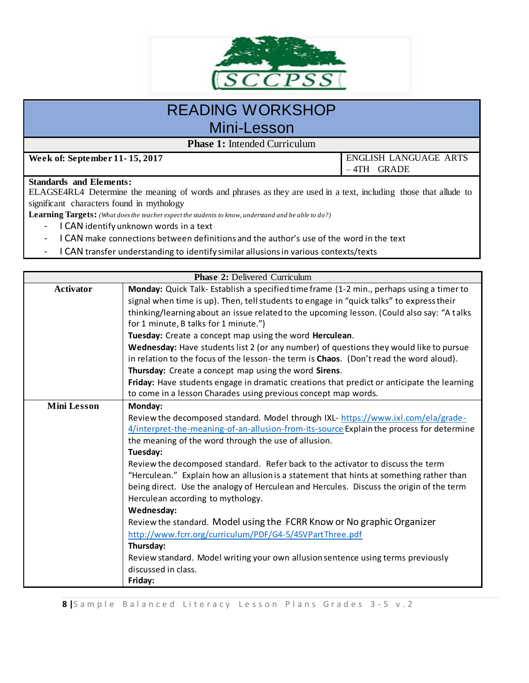

## READING WORKSHOP Mini-Lesson

**Phase 1:** Intended Curriculum

**Week of: September 11- 15, 2017** ENGLISH LANGUAGE ARTS – 4TH GRADE

#### **Standards and Elements:**

ELAGSE4RL4 Determine the meaning of words and phrases as they are used in a text, including those that allude to significant characters found in mythology

**Learning Targets:** *(What does the teacher expect the students to know, understand and be able to do?)*

- I CAN identify unknown words in a text
- I CAN make connections between definitions and the author's use of the word in the text
- I CAN transfer understanding to identify similar allusions in various contexts/texts

| <b>Phase 2: Delivered Curriculum</b> |                                                                                            |  |  |  |
|--------------------------------------|--------------------------------------------------------------------------------------------|--|--|--|
| Activator                            | Monday: Quick Talk- Establish a specified time frame (1-2 min., perhaps using a timer to   |  |  |  |
|                                      | signal when time is up). Then, tell students to engage in "quick talks" to express their   |  |  |  |
|                                      | thinking/learning about an issue related to the upcoming lesson. (Could also say: "A talks |  |  |  |
|                                      | for 1 minute, B talks for 1 minute.")                                                      |  |  |  |
|                                      | Tuesday: Create a concept map using the word Herculean.                                    |  |  |  |
|                                      | Wednesday: Have students list 2 (or any number) of questions they would like to pursue     |  |  |  |
|                                      | in relation to the focus of the lesson-the term is Chaos. (Don't read the word aloud).     |  |  |  |
|                                      | Thursday: Create a concept map using the word Sirens.                                      |  |  |  |
|                                      | Friday: Have students engage in dramatic creations that predict or anticipate the learning |  |  |  |
|                                      | to come in a lesson Charades using previous concept map words.                             |  |  |  |
| <b>Mini Lesson</b>                   | Monday:                                                                                    |  |  |  |
|                                      | Review the decomposed standard. Model through IXL- https://www.ixl.com/ela/grade-          |  |  |  |
|                                      | 4/interpret-the-meaning-of-an-allusion-from-its-source Explain the process for determine   |  |  |  |
|                                      | the meaning of the word through the use of allusion.                                       |  |  |  |
|                                      | Tuesday:                                                                                   |  |  |  |
|                                      | Review the decomposed standard. Refer back to the activator to discuss the term            |  |  |  |
|                                      | "Herculean." Explain how an allusion is a statement that hints at something rather than    |  |  |  |
|                                      | being direct. Use the analogy of Herculean and Hercules. Discuss the origin of the term    |  |  |  |
|                                      | Herculean according to mythology.                                                          |  |  |  |
|                                      | Wednesday:                                                                                 |  |  |  |
|                                      | Review the standard. Model using the FCRR Know or No graphic Organizer                     |  |  |  |
|                                      | http://www.fcrr.org/curriculum/PDF/G4-5/45VPartThree.pdf                                   |  |  |  |
|                                      | Thursday:                                                                                  |  |  |  |
|                                      | Review standard. Model writing your own allusion sentence using terms previously           |  |  |  |
|                                      | discussed in class.                                                                        |  |  |  |
|                                      | Friday:                                                                                    |  |  |  |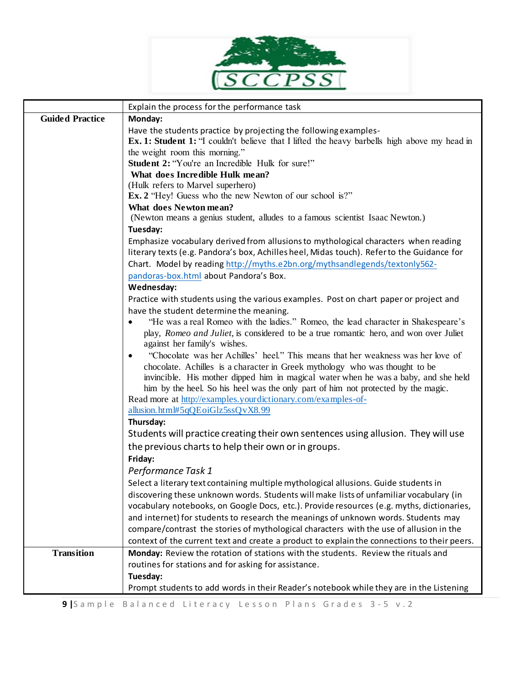

|                        | Explain the process for the performance task                                                                                                                             |  |  |
|------------------------|--------------------------------------------------------------------------------------------------------------------------------------------------------------------------|--|--|
| <b>Guided Practice</b> | Monday:                                                                                                                                                                  |  |  |
|                        | Have the students practice by projecting the following examples-                                                                                                         |  |  |
|                        | <b>Ex. 1: Student 1:</b> "I couldn't believe that I lifted the heavy barbells high above my head in                                                                      |  |  |
|                        | the weight room this morning."                                                                                                                                           |  |  |
|                        | Student 2: "You're an Incredible Hulk for sure!"                                                                                                                         |  |  |
|                        | What does Incredible Hulk mean?                                                                                                                                          |  |  |
|                        | (Hulk refers to Marvel superhero)                                                                                                                                        |  |  |
|                        | Ex. 2 "Hey! Guess who the new Newton of our school is?"<br>What does Newton mean?                                                                                        |  |  |
|                        | (Newton means a genius student, alludes to a famous scientist Isaac Newton.)                                                                                             |  |  |
|                        | Tuesday:                                                                                                                                                                 |  |  |
|                        | Emphasize vocabulary derived from allusions to mythological characters when reading                                                                                      |  |  |
|                        | literary texts (e.g. Pandora's box, Achilles heel, Midas touch). Refer to the Guidance for                                                                               |  |  |
|                        | Chart. Model by reading http://myths.e2bn.org/mythsandlegends/textonly562-                                                                                               |  |  |
|                        | pandoras-box.html about Pandora's Box.                                                                                                                                   |  |  |
|                        | Wednesday:                                                                                                                                                               |  |  |
|                        | Practice with students using the various examples. Post on chart paper or project and                                                                                    |  |  |
|                        | have the student determine the meaning.                                                                                                                                  |  |  |
|                        | "He was a real Romeo with the ladies." Romeo, the lead character in Shakespeare's                                                                                        |  |  |
|                        | play, Romeo and Juliet, is considered to be a true romantic hero, and won over Juliet                                                                                    |  |  |
|                        | against her family's wishes.                                                                                                                                             |  |  |
|                        | "Chocolate was her Achilles' heel." This means that her weakness was her love of<br>$\bullet$                                                                            |  |  |
|                        | chocolate. Achilles is a character in Greek mythology who was thought to be                                                                                              |  |  |
|                        | invincible. His mother dipped him in magical water when he was a baby, and she held<br>him by the heel. So his heel was the only part of him not protected by the magic. |  |  |
|                        | Read more at http://examples.yourdictionary.com/examples-of-                                                                                                             |  |  |
|                        | allusion.html#5qQEoiGlz5ssQvX8.99                                                                                                                                        |  |  |
|                        | Thursday:                                                                                                                                                                |  |  |
|                        | Students will practice creating their own sentences using allusion. They will use                                                                                        |  |  |
|                        | the previous charts to help their own or in groups.                                                                                                                      |  |  |
|                        | Friday:                                                                                                                                                                  |  |  |
|                        | Performance Task 1                                                                                                                                                       |  |  |
|                        | Select a literary text containing multiple mythological allusions. Guide students in                                                                                     |  |  |
|                        | discovering these unknown words. Students will make lists of unfamiliar vocabulary (in                                                                                   |  |  |
|                        | vocabulary notebooks, on Google Docs, etc.). Provide resources (e.g. myths, dictionaries,                                                                                |  |  |
|                        | and internet) for students to research the meanings of unknown words. Students may                                                                                       |  |  |
|                        | compare/contrast the stories of mythological characters with the use of allusion in the                                                                                  |  |  |
|                        | context of the current text and create a product to explain the connections to their peers.                                                                              |  |  |
| <b>Transition</b>      | Monday: Review the rotation of stations with the students. Review the rituals and                                                                                        |  |  |
|                        | routines for stations and for asking for assistance.                                                                                                                     |  |  |
|                        | Tuesday:                                                                                                                                                                 |  |  |
|                        | Prompt students to add words in their Reader's notebook while they are in the Listening                                                                                  |  |  |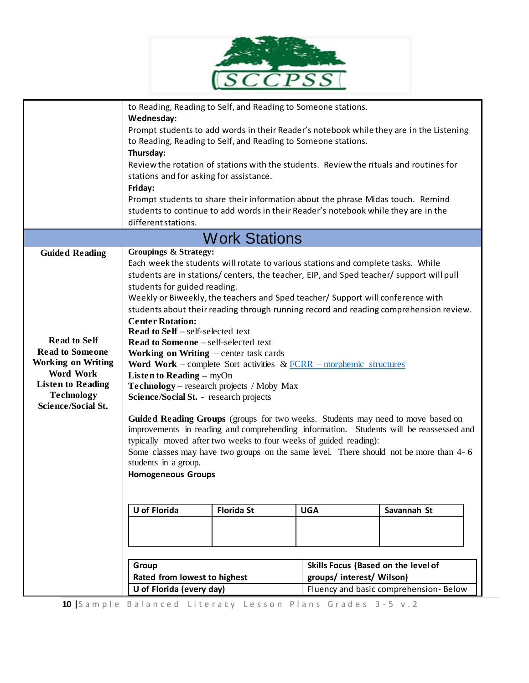

|                                                                                                                                                                                                | to Reading, Reading to Self, and Reading to Someone stations.<br>Wednesday:<br>Prompt students to add words in their Reader's notebook while they are in the Listening<br>to Reading, Reading to Self, and Reading to Someone stations.<br>Thursday:<br>Review the rotation of stations with the students. Review the rituals and routines for<br>stations and for asking for assistance.<br>Friday:<br>Prompt students to share their information about the phrase Midas touch. Remind<br>students to continue to add words in their Reader's notebook while they are in the<br>different stations.                                                                                                                                                                                                                                                                                                                                                                                                                                                                                                                                                                                                     |                      |                                                                  |                                       |
|------------------------------------------------------------------------------------------------------------------------------------------------------------------------------------------------|----------------------------------------------------------------------------------------------------------------------------------------------------------------------------------------------------------------------------------------------------------------------------------------------------------------------------------------------------------------------------------------------------------------------------------------------------------------------------------------------------------------------------------------------------------------------------------------------------------------------------------------------------------------------------------------------------------------------------------------------------------------------------------------------------------------------------------------------------------------------------------------------------------------------------------------------------------------------------------------------------------------------------------------------------------------------------------------------------------------------------------------------------------------------------------------------------------|----------------------|------------------------------------------------------------------|---------------------------------------|
|                                                                                                                                                                                                |                                                                                                                                                                                                                                                                                                                                                                                                                                                                                                                                                                                                                                                                                                                                                                                                                                                                                                                                                                                                                                                                                                                                                                                                          | <b>Work Stations</b> |                                                                  |                                       |
| <b>Guided Reading</b><br><b>Read to Self</b><br><b>Read to Someone</b><br><b>Working on Writing</b><br>Word Work<br><b>Listen to Reading</b><br><b>Technology</b><br><b>Science/Social St.</b> | <b>Groupings &amp; Strategy:</b><br>Each week the students will rotate to various stations and complete tasks. While<br>students are in stations/ centers, the teacher, EIP, and Sped teacher/ support will pull<br>students for guided reading.<br>Weekly or Biweekly, the teachers and Sped teacher/ Support will conference with<br>students about their reading through running record and reading comprehension review.<br><b>Center Rotation:</b><br><b>Read to Self</b> – self-selected text<br><b>Read to Someone - self-selected text</b><br><b>Working on Writing</b> $-$ center task cards<br>Word Work – complete Sort activities $& FCRR$ – morphemic structures<br><b>Listen to Reading - myOn</b><br>Technology - research projects / Moby Max<br>Science/Social St. - research projects<br>Guided Reading Groups (groups for two weeks. Students may need to move based on<br>improvements in reading and comprehending information. Students will be reassessed and<br>typically moved after two weeks to four weeks of guided reading):<br>Some classes may have two groups on the same level. There should not be more than 4- 6<br>students in a group.<br><b>Homogeneous Groups</b> |                      |                                                                  |                                       |
|                                                                                                                                                                                                | U of Florida                                                                                                                                                                                                                                                                                                                                                                                                                                                                                                                                                                                                                                                                                                                                                                                                                                                                                                                                                                                                                                                                                                                                                                                             | <b>Florida St</b>    | <b>UGA</b>                                                       | Savannah St                           |
|                                                                                                                                                                                                | Group<br>Rated from lowest to highest<br>U of Florida (every day)                                                                                                                                                                                                                                                                                                                                                                                                                                                                                                                                                                                                                                                                                                                                                                                                                                                                                                                                                                                                                                                                                                                                        |                      | Skills Focus (Based on the level of<br>groups/ interest/ Wilson) | Fluency and basic comprehension-Below |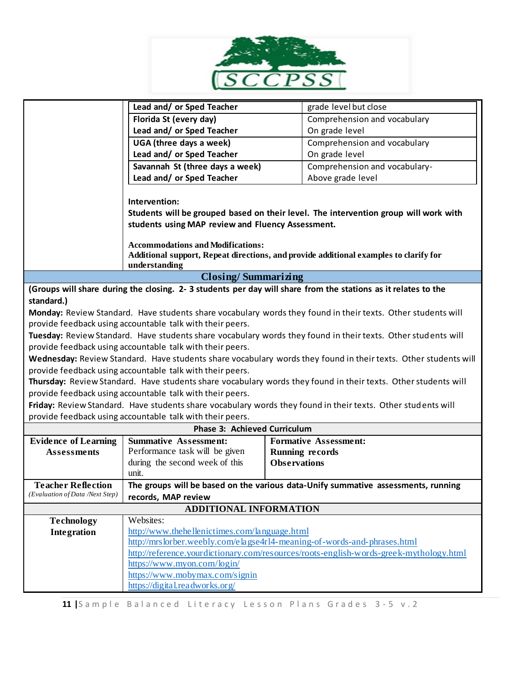

|                                                                                                               | Lead and/ or Sped Teacher                                                                                                                          |                     | grade level but close                                                                                           |  |
|---------------------------------------------------------------------------------------------------------------|----------------------------------------------------------------------------------------------------------------------------------------------------|---------------------|-----------------------------------------------------------------------------------------------------------------|--|
|                                                                                                               | Florida St (every day)                                                                                                                             |                     | Comprehension and vocabulary                                                                                    |  |
|                                                                                                               | Lead and/ or Sped Teacher                                                                                                                          |                     | On grade level                                                                                                  |  |
|                                                                                                               | UGA (three days a week)                                                                                                                            |                     | Comprehension and vocabulary                                                                                    |  |
|                                                                                                               | Lead and/ or Sped Teacher                                                                                                                          |                     | On grade level                                                                                                  |  |
|                                                                                                               | Savannah St (three days a week)                                                                                                                    |                     | Comprehension and vocabulary-                                                                                   |  |
|                                                                                                               | Lead and/ or Sped Teacher                                                                                                                          |                     | Above grade level                                                                                               |  |
|                                                                                                               | Intervention:                                                                                                                                      |                     |                                                                                                                 |  |
|                                                                                                               |                                                                                                                                                    |                     | Students will be grouped based on their level. The intervention group will work with                            |  |
|                                                                                                               | students using MAP review and Fluency Assessment.                                                                                                  |                     |                                                                                                                 |  |
|                                                                                                               | <b>Accommodations and Modifications:</b><br>Additional support, Repeat directions, and provide additional examples to clarify for<br>understanding |                     |                                                                                                                 |  |
|                                                                                                               | <b>Closing/Summarizing</b>                                                                                                                         |                     |                                                                                                                 |  |
| (Groups will share during the closing. 2-3 students per day will share from the stations as it relates to the |                                                                                                                                                    |                     |                                                                                                                 |  |
| standard.)                                                                                                    |                                                                                                                                                    |                     |                                                                                                                 |  |
|                                                                                                               |                                                                                                                                                    |                     | Monday: Review Standard. Have students share vocabulary words they found in their texts. Other students will    |  |
|                                                                                                               | provide feedback using accountable talk with their peers.                                                                                          |                     |                                                                                                                 |  |
|                                                                                                               |                                                                                                                                                    |                     | Tuesday: Review Standard. Have students share vocabulary words they found in their texts. Other students will   |  |
|                                                                                                               | provide feedback using accountable talk with their peers.                                                                                          |                     |                                                                                                                 |  |
|                                                                                                               |                                                                                                                                                    |                     | Wednesday: Review Standard. Have students share vocabulary words they found in their texts. Other students will |  |
|                                                                                                               | provide feedback using accountable talk with their peers.                                                                                          |                     |                                                                                                                 |  |
|                                                                                                               |                                                                                                                                                    |                     | Thursday: Review Standard. Have students share vocabulary words they found in their texts. Other students will  |  |
|                                                                                                               | provide feedback using accountable talk with their peers.                                                                                          |                     |                                                                                                                 |  |
|                                                                                                               |                                                                                                                                                    |                     | Friday: Review Standard. Have students share vocabulary words they found in their texts. Other students will    |  |
|                                                                                                               | provide feedback using accountable talk with their peers.                                                                                          |                     |                                                                                                                 |  |
|                                                                                                               | Phase 3: Achieved Curriculum                                                                                                                       |                     |                                                                                                                 |  |
| <b>Evidence of Learning</b>                                                                                   | <b>Summative Assessment:</b>                                                                                                                       |                     | <b>Formative Assessment:</b>                                                                                    |  |
| <b>Assessments</b>                                                                                            | Performance task will be given                                                                                                                     |                     | <b>Running records</b>                                                                                          |  |
|                                                                                                               | during the second week of this                                                                                                                     | <b>Observations</b> |                                                                                                                 |  |
|                                                                                                               | unit.                                                                                                                                              |                     |                                                                                                                 |  |
| <b>Teacher Reflection</b><br>(Evaluation of Data /Next Step)                                                  |                                                                                                                                                    |                     | The groups will be based on the various data-Unify summative assessments, running                               |  |
|                                                                                                               | records, MAP review                                                                                                                                |                     |                                                                                                                 |  |
| <b>ADDITIONAL INFORMATION</b>                                                                                 |                                                                                                                                                    |                     |                                                                                                                 |  |
| <b>Technology</b>                                                                                             | Websites:<br>http://www.thehellenictimes.com/language.html                                                                                         |                     |                                                                                                                 |  |
| Integration                                                                                                   | http://mrslorber.weebly.com/elagse4rl4-meaning-of-words-and-phrases.html                                                                           |                     |                                                                                                                 |  |
|                                                                                                               |                                                                                                                                                    |                     |                                                                                                                 |  |
|                                                                                                               | http://reference.yourdictionary.com/resources/roots-english-words-greek-mythology.html<br>https://www.myon.com/login/                              |                     |                                                                                                                 |  |
|                                                                                                               | https://www.mobymax.com/signin                                                                                                                     |                     |                                                                                                                 |  |
|                                                                                                               | https://digital.readworks.org/                                                                                                                     |                     |                                                                                                                 |  |
|                                                                                                               |                                                                                                                                                    |                     |                                                                                                                 |  |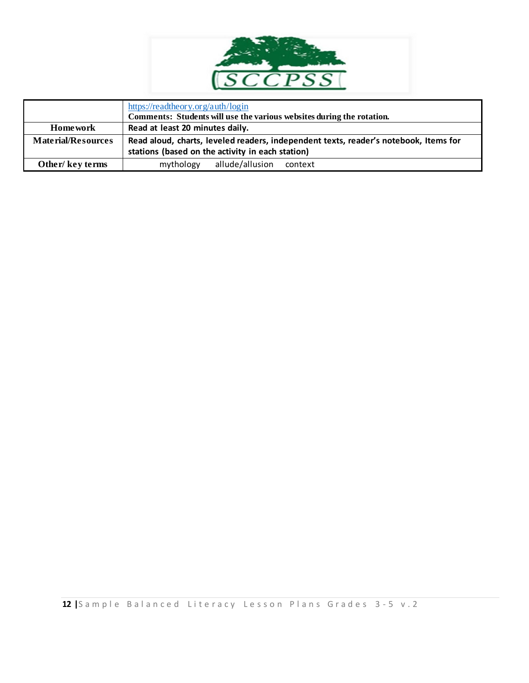

|                           | https://readtheory.org/auth/login<br>Comments: Students will use the various websites during the rotation.                               |  |  |
|---------------------------|------------------------------------------------------------------------------------------------------------------------------------------|--|--|
| <b>Home work</b>          | Read at least 20 minutes daily.                                                                                                          |  |  |
| <b>Material/Resources</b> | Read aloud, charts, leveled readers, independent texts, reader's notebook, Items for<br>stations (based on the activity in each station) |  |  |
| Other/key terms           | allude/allusion<br>mythology<br>context                                                                                                  |  |  |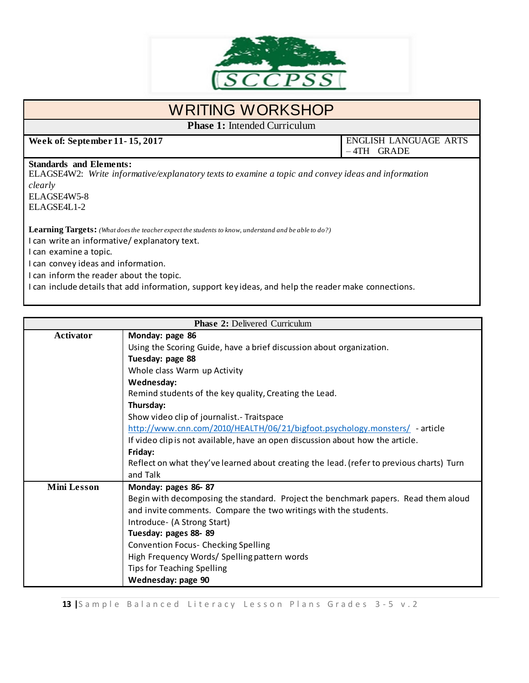

## WRITING WORKSHOP

**Phase 1:** Intended Curriculum

**Week of: September 11-15, 2017 ENGLISH LANGUAGE ARTS** – 4TH GRADE

#### **Standards and Elements:**

ELAGSE4W2: *Write informative/explanatory texts to examine a topic and convey ideas and information clearly* ELAGSE4W5-8

ELAGSE4L1-2

**Learning Targets:** *(What does the teacher expect the students to know, understand and be able to do?)*

I can write an informative/ explanatory text.

I can examine a topic.

I can convey ideas and information.

I can inform the reader about the topic.

I can include details that add information, support key ideas, and help the reader make connections.

| <b>Phase 2: Delivered Curriculum</b> |                                                                                          |  |  |  |
|--------------------------------------|------------------------------------------------------------------------------------------|--|--|--|
| <b>Activator</b>                     | Monday: page 86                                                                          |  |  |  |
|                                      | Using the Scoring Guide, have a brief discussion about organization.                     |  |  |  |
|                                      | Tuesday: page 88                                                                         |  |  |  |
|                                      | Whole class Warm up Activity                                                             |  |  |  |
|                                      | Wednesday:                                                                               |  |  |  |
|                                      | Remind students of the key quality, Creating the Lead.                                   |  |  |  |
|                                      | Thursday:                                                                                |  |  |  |
|                                      | Show video clip of journalist. - Traitspace                                              |  |  |  |
|                                      | http://www.cnn.com/2010/HEALTH/06/21/bigfoot.psychology.monsters/ - article              |  |  |  |
|                                      | If video clip is not available, have an open discussion about how the article.           |  |  |  |
|                                      | Friday:                                                                                  |  |  |  |
|                                      | Reflect on what they've learned about creating the lead. (refer to previous charts) Turn |  |  |  |
|                                      | and Talk                                                                                 |  |  |  |
| <b>Mini Lesson</b>                   | Monday: pages 86-87                                                                      |  |  |  |
|                                      | Begin with decomposing the standard. Project the benchmark papers. Read them aloud       |  |  |  |
|                                      | and invite comments. Compare the two writings with the students.                         |  |  |  |
|                                      | Introduce- (A Strong Start)                                                              |  |  |  |
|                                      | Tuesday: pages 88-89                                                                     |  |  |  |
|                                      | <b>Convention Focus- Checking Spelling</b>                                               |  |  |  |
|                                      | High Frequency Words/ Spelling pattern words                                             |  |  |  |
|                                      | Tips for Teaching Spelling                                                               |  |  |  |
|                                      | Wednesday: page 90                                                                       |  |  |  |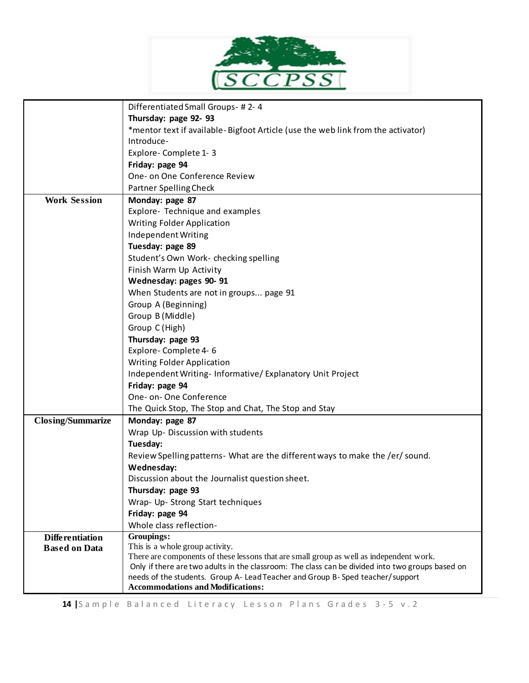

|                          | Differentiated Small Groups- #2-4                                                                                                                                                           |  |  |
|--------------------------|---------------------------------------------------------------------------------------------------------------------------------------------------------------------------------------------|--|--|
|                          | Thursday: page 92-93                                                                                                                                                                        |  |  |
|                          | *mentor text if available-Bigfoot Article (use the web link from the activator)                                                                                                             |  |  |
|                          | Introduce-                                                                                                                                                                                  |  |  |
|                          | Explore-Complete 1-3                                                                                                                                                                        |  |  |
|                          | Friday: page 94                                                                                                                                                                             |  |  |
|                          | One- on One Conference Review                                                                                                                                                               |  |  |
|                          | Partner Spelling Check                                                                                                                                                                      |  |  |
| <b>Work Session</b>      | Monday: page 87                                                                                                                                                                             |  |  |
|                          | Explore- Technique and examples<br><b>Writing Folder Application</b>                                                                                                                        |  |  |
|                          |                                                                                                                                                                                             |  |  |
|                          | Independent Writing                                                                                                                                                                         |  |  |
|                          | Tuesday: page 89                                                                                                                                                                            |  |  |
|                          | Student's Own Work- checking spelling                                                                                                                                                       |  |  |
|                          | Finish Warm Up Activity                                                                                                                                                                     |  |  |
|                          | Wednesday: pages 90-91                                                                                                                                                                      |  |  |
|                          | When Students are not in groups page 91                                                                                                                                                     |  |  |
|                          | Group A (Beginning)                                                                                                                                                                         |  |  |
|                          | Group B (Middle)                                                                                                                                                                            |  |  |
|                          | Group C (High)                                                                                                                                                                              |  |  |
|                          | Thursday: page 93                                                                                                                                                                           |  |  |
|                          | Explore-Complete 4-6                                                                                                                                                                        |  |  |
|                          | <b>Writing Folder Application</b>                                                                                                                                                           |  |  |
|                          | Independent Writing-Informative/Explanatory Unit Project                                                                                                                                    |  |  |
|                          | Friday: page 94                                                                                                                                                                             |  |  |
|                          | One- on- One Conference                                                                                                                                                                     |  |  |
|                          | The Quick Stop, The Stop and Chat, The Stop and Stay                                                                                                                                        |  |  |
| <b>Closing/Summarize</b> | Monday: page 87                                                                                                                                                                             |  |  |
|                          | Wrap Up- Discussion with students                                                                                                                                                           |  |  |
|                          | Tuesday:                                                                                                                                                                                    |  |  |
|                          | Review Spelling patterns- What are the different ways to make the /er/ sound.                                                                                                               |  |  |
|                          | Wednesday:                                                                                                                                                                                  |  |  |
|                          | Discussion about the Journalist question sheet.                                                                                                                                             |  |  |
|                          | Thursday: page 93                                                                                                                                                                           |  |  |
|                          | Wrap- Up- Strong Start techniques                                                                                                                                                           |  |  |
|                          | Friday: page 94                                                                                                                                                                             |  |  |
|                          | Whole class reflection-                                                                                                                                                                     |  |  |
| <b>Differentiation</b>   | Groupings:                                                                                                                                                                                  |  |  |
| <b>Based on Data</b>     | This is a whole group activity.                                                                                                                                                             |  |  |
|                          | There are components of these lessons that are small group as well as independent work.<br>Only if there are two adults in the classroom: The class can be divided into two groups based on |  |  |
|                          | needs of the students. Group A- Lead Teacher and Group B- Sped teacher/support                                                                                                              |  |  |
|                          | <b>Accommodations and Modifications:</b>                                                                                                                                                    |  |  |